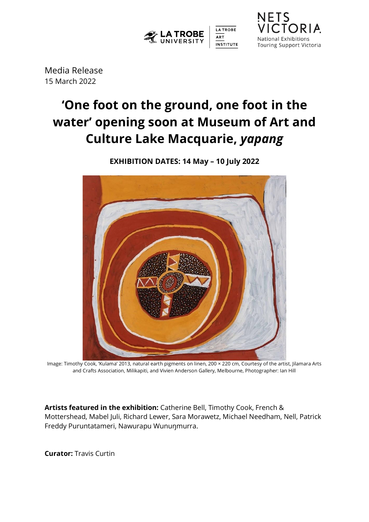

**NETS** CIORIA National Exhibitions **Touring Support Victoria** 

Media Release 15 March 2022

# **'One foot on the ground, one foot in the water' opening soon at Museum of Art and Culture Lake Macquarie,** *yapang*



**EXHIBITION DATES: 14 May – 10 July 2022**

Image: Timothy Cook, 'Kulama' 2013, natural earth pigments on linen, 200 × 220 cm, Courtesy of the artist, Jilamara Arts and Crafts Association, Milikapiti, and Vivien Anderson Gallery, Melbourne, Photographer: Ian Hill

**Artists featured in the exhibition:** Catherine Bell, Timothy Cook, French & Mottershead, Mabel Juli, Richard Lewer, Sara Morawetz, Michael Needham, Nell, Patrick Freddy Puruntatameri, Nawurapu Wunuŋmurra.

**Curator:** Travis Curtin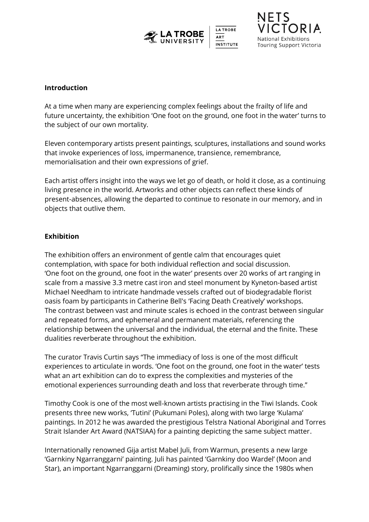



#### **Introduction**

At a time when many are experiencing complex feelings about the frailty of life and future uncertainty, the exhibition 'One foot on the ground, one foot in the water' turns to the subject of our own mortality.

Eleven contemporary artists present paintings, sculptures, installations and sound works that invoke experiences of loss, impermanence, transience, remembrance, memorialisation and their own expressions of grief.

Each artist offers insight into the ways we let go of death, or hold it close, as a continuing living presence in the world. Artworks and other objects can reflect these kinds of present-absences, allowing the departed to continue to resonate in our memory, and in objects that outlive them.

# **Exhibition**

The exhibition offers an environment of gentle calm that encourages quiet contemplation, with space for both individual reflection and social discussion. 'One foot on the ground, one foot in the water' presents over 20 works of art ranging in scale from a massive 3.3 metre cast iron and steel monument by Kyneton-based artist Michael Needham to intricate handmade vessels crafted out of biodegradable florist oasis foam by participants in Catherine Bell's 'Facing Death Creatively' workshops. The contrast between vast and minute scales is echoed in the contrast between singular and repeated forms, and ephemeral and permanent materials, referencing the relationship between the universal and the individual, the eternal and the finite. These dualities reverberate throughout the exhibition.

The curator Travis Curtin says "The immediacy of loss is one of the most difficult experiences to articulate in words. 'One foot on the ground, one foot in the water' tests what an art exhibition can do to express the complexities and mysteries of the emotional experiences surrounding death and loss that reverberate through time."

Timothy Cook is one of the most well-known artists practising in the Tiwi Islands. Cook presents three new works, 'Tutini' (Pukumani Poles), along with two large 'Kulama' paintings. In 2012 he was awarded the prestigious Telstra National Aboriginal and Torres Strait Islander Art Award (NATSIAA) for a painting depicting the same subject matter.

Internationally renowned Gija artist Mabel Juli, from Warmun, presents a new large 'Garnkiny Ngarranggarni' painting. Juli has painted 'Garnkiny doo Wardel' (Moon and Star), an important Ngarranggarni (Dreaming) story, prolifically since the 1980s when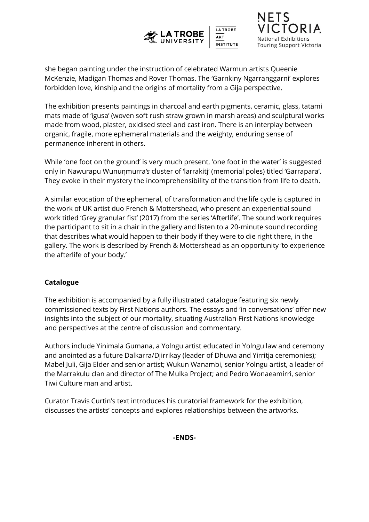



she began painting under the instruction of celebrated Warmun artists Queenie McKenzie, Madigan Thomas and Rover Thomas. The 'Garnkiny Ngarranggarni' explores forbidden love, kinship and the origins of mortality from a Gija perspective.

The exhibition presents paintings in charcoal and earth pigments, ceramic, glass, tatami mats made of 'igusa' (woven soft rush straw grown in marsh areas) and sculptural works made from wood, plaster, oxidised steel and cast iron. There is an interplay between organic, fragile, more ephemeral materials and the weighty, enduring sense of permanence inherent in others.

While 'one foot on the ground' is very much present, 'one foot in the water' is suggested only in Nawurapu Wunuŋmurra*'s* cluster of 'larrakitj' (memorial poles) titled 'Garrapara'. They evoke in their mystery the incomprehensibility of the transition from life to death.

A similar evocation of the ephemeral, of transformation and the life cycle is captured in the work of UK artist duo French & Mottershead, who present an experiential sound work titled 'Grey granular fist' (2017) from the series 'Afterlife'. The sound work requires the participant to sit in a chair in the gallery and listen to a 20-minute sound recording that describes what would happen to their body if they were to die right there, in the gallery. The work is described by French & Mottershead as an opportunity 'to experience the afterlife of your body.'

# **Catalogue**

The exhibition is accompanied by a fully illustrated catalogue featuring six newly commissioned texts by First Nations authors. The essays and 'in conversations' offer new insights into the subject of our mortality, situating Australian First Nations knowledge and perspectives at the centre of discussion and commentary.

Authors include Yinimala Gumana, a Yolngu artist educated in Yolngu law and ceremony and anointed as a future Dalkarra/Djirrikay (leader of Dhuwa and Yirritja ceremonies); Mabel Juli, Gija Elder and senior artist; Wukun Wanambi, senior Yolngu artist, a leader of the Marrakulu clan and director of The Mulka Project; and Pedro Wonaeamirri, senior Tiwi Culture man and artist.

Curator Travis Curtin's text introduces his curatorial framework for the exhibition, discusses the artists' concepts and explores relationships between the artworks.

**-ENDS-**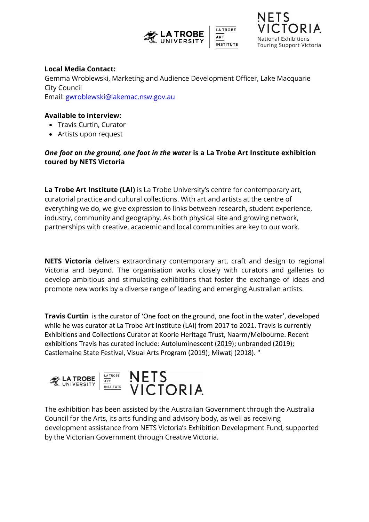



### **Local Media Contact:**

Gemma Wroblewski, Marketing and Audience Development Officer, Lake Macquarie City Council Email: [gwroblewski@lakemac.nsw.gov.au](mailto:gwroblewski@lakemac.nsw.gov.au)

## **Available to interview:**

- Travis Curtin, Curator
- Artists upon request

# *One foot on the ground, one foot in the water* **is a La Trobe Art Institute exhibition toured by NETS Victoria**

**La Trobe Art Institute (LAI)** is La Trobe University's centre for contemporary art, curatorial practice and cultural collections. With art and artists at the centre of everything we do, we give expression to links between research, student experience, industry, community and geography. As both physical site and growing network, partnerships with creative, academic and local communities are key to our work.

**NETS Victoria** delivers extraordinary contemporary art, craft and design to regional Victoria and beyond. The organisation works closely with curators and galleries to develop ambitious and stimulating exhibitions that foster the exchange of ideas and promote new works by a diverse range of leading and emerging Australian artists.

**Travis Curtin** is the curator of 'One foot on the ground, one foot in the water', developed while he was curator at La Trobe Art Institute (LAI) from 2017 to 2021. Travis is currently Exhibitions and Collections Curator at Koorie Heritage Trust, Naarm/Melbourne. Recent exhibitions Travis has curated include: Autoluminescent (2019); unbranded (2019); Castlemaine State Festival, Visual Arts Program (2019); Miwatj (2018). "



The exhibition has been assisted by the Australian Government through the Australia Council for the Arts, its arts funding and advisory body, as well as receiving development assistance from NETS Victoria's Exhibition Development Fund, supported by the Victorian Government through Creative Victoria.